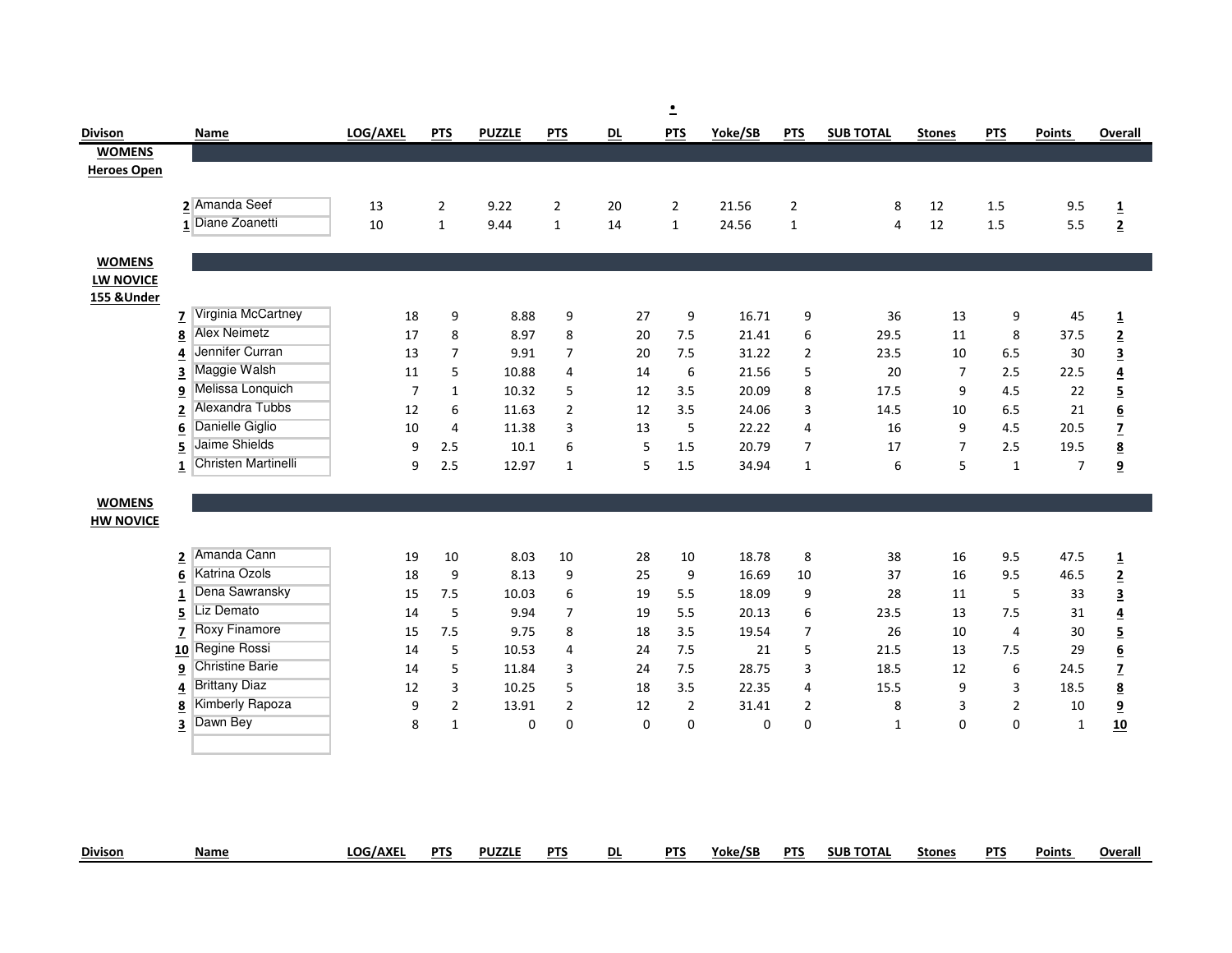|                    |                                          |                |                  |               |                  |                | $\overline{\phantom{a}}$ |         |                  |                  |                |                |                |                                           |
|--------------------|------------------------------------------|----------------|------------------|---------------|------------------|----------------|--------------------------|---------|------------------|------------------|----------------|----------------|----------------|-------------------------------------------|
| Divison            | Name                                     | LOG/AXEL       | <b>PTS</b>       | <b>PUZZLE</b> | <b>PTS</b>       | D <sub>L</sub> | <b>PTS</b>               | Yoke/SB | <b>PTS</b>       | <b>SUB TOTAL</b> | <b>Stones</b>  | <b>PTS</b>     | <b>Points</b>  | Overall                                   |
| <b>WOMENS</b>      |                                          |                |                  |               |                  |                |                          |         |                  |                  |                |                |                |                                           |
| <b>Heroes Open</b> |                                          |                |                  |               |                  |                |                          |         |                  |                  |                |                |                |                                           |
|                    |                                          |                |                  |               |                  |                |                          |         |                  |                  |                |                |                |                                           |
|                    | 2 Amanda Seef                            | 13             | $\overline{2}$   | 9.22          | $\overline{2}$   | 20             | $\overline{2}$           | 21.56   | $\overline{2}$   | 8                | 12             | 1.5            | 9.5            | $\mathbf 1$                               |
|                    | 1 Diane Zoanetti                         | 10             | $\mathbf{1}$     | 9.44          | $\mathbf{1}$     | 14             | $\mathbf{1}$             | 24.56   | $\mathbf{1}$     | 4                | 12             | 1.5            | 5.5            | $\overline{2}$                            |
|                    |                                          |                |                  |               |                  |                |                          |         |                  |                  |                |                |                |                                           |
| <b>WOMENS</b>      |                                          |                |                  |               |                  |                |                          |         |                  |                  |                |                |                |                                           |
| <b>LW NOVICE</b>   |                                          |                |                  |               |                  |                |                          |         |                  |                  |                |                |                |                                           |
| 155 & Under        | <b>7</b> Virginia McCartney              |                |                  | 8.88          |                  | 27             |                          | 16.71   |                  | 36               |                |                |                |                                           |
|                    | <b>Alex Neimetz</b><br>$\underline{8}$   | 18<br>17       | 9<br>8           | 8.97          | 9<br>$\,8\,$     | 20             | 9<br>7.5                 | 21.41   | 9<br>6           | 29.5             | 13<br>11       | 9<br>8         | 45<br>37.5     | $\overline{\mathbf{1}}$                   |
|                    | Jennifer Curran<br>4                     | 13             | $\boldsymbol{7}$ | 9.91          | $\overline{7}$   | 20             | 7.5                      | 31.22   | $\mathbf 2$      | 23.5             | 10             | 6.5            | 30             | $\overline{2}$<br>$\overline{\mathbf{3}}$ |
|                    | Maggie Walsh<br>3                        | 11             | 5                | 10.88         | 4                | 14             | $\boldsymbol{6}$         | 21.56   | 5                | 20               | $\overline{7}$ | 2.5            | 22.5           | $\overline{\mathbf{4}}$                   |
|                    | Melissa Lonquich<br>$\overline{9}$       | $\overline{7}$ | $\mathbf{1}$     | 10.32         | $\mathsf S$      | 12             | 3.5                      | 20.09   | 8                | 17.5             | 9              | 4.5            | 22             | $\overline{5}$                            |
|                    | Alexandra Tubbs<br>2                     | 12             | 6                | 11.63         | $\overline{2}$   | 12             | 3.5                      | 24.06   | 3                | 14.5             | 10             | 6.5            | 21             | $\underline{\mathbf{6}}$                  |
|                    | Danielle Giglio<br>$6\phantom{1}6$       | 10             | 4                | 11.38         | 3                | 13             | $\mathsf S$              | 22.22   | 4                | 16               | 9              | 4.5            | 20.5           | $\overline{z}$                            |
|                    | Jaime Shields<br>5                       | 9              | 2.5              | 10.1          | 6                | 5              | 1.5                      | 20.79   | $\overline{7}$   | 17               | $\overline{7}$ | 2.5            | 19.5           | $\underline{\mathbf{8}}$                  |
|                    | Christen Martinelli<br>1                 | 9              | 2.5              | 12.97         | $\mathbf{1}$     | 5              | 1.5                      | 34.94   | $\mathbf{1}$     | 6                | 5              | $\mathbf{1}$   | $\overline{7}$ | $\boldsymbol{9}$                          |
|                    |                                          |                |                  |               |                  |                |                          |         |                  |                  |                |                |                |                                           |
| <b>WOMENS</b>      |                                          |                |                  |               |                  |                |                          |         |                  |                  |                |                |                |                                           |
| <b>HW NOVICE</b>   |                                          |                |                  |               |                  |                |                          |         |                  |                  |                |                |                |                                           |
|                    |                                          |                |                  |               |                  |                |                          |         |                  |                  |                |                |                |                                           |
|                    | Amanda Cann<br>$\overline{2}$            | 19             | 10               | 8.03          | 10               | 28             | 10                       | 18.78   | 8                | 38               | 16             | 9.5            | 47.5           | $\overline{\mathbf{1}}$                   |
|                    | Katrina Ozols<br>$6\phantom{1}6$         | 18             | 9                | 8.13          | 9                | 25             | 9                        | 16.69   | 10               | 37               | 16             | 9.5            | 46.5           | $\overline{2}$                            |
|                    | Dena Sawransky<br>$\mathbf{1}$           | 15             | 7.5              | 10.03         | $\boldsymbol{6}$ | 19             | 5.5                      | 18.09   | 9                | 28               | 11             | 5              | 33             | $\overline{\mathbf{3}}$                   |
|                    | Liz Demato<br>5                          | 14             | $\sqrt{5}$       | 9.94          | $\boldsymbol{7}$ | 19             | 5.5                      | 20.13   | $\boldsymbol{6}$ | 23.5             | 13             | 7.5            | 31             | $\underline{\mathbf{4}}$                  |
|                    | Roxy Finamore<br>$\overline{z}$          | 15             | 7.5              | 9.75          | 8                | 18             | 3.5                      | 19.54   | $\boldsymbol{7}$ | 26               | 10             | $\overline{4}$ | 30             | $\overline{5}$                            |
|                    | Regine Rossi<br>10                       | 14             | 5                | 10.53         | 4                | 24             | 7.5                      | 21      | 5                | 21.5             | 13             | 7.5            | 29             | $\underline{\mathbf{6}}$                  |
|                    | <b>Christine Barie</b><br>$\overline{9}$ | 14             | 5                | 11.84         | 3                | 24             | 7.5                      | 28.75   | 3                | 18.5             | 12             | 6              | 24.5           | $\overline{z}$                            |
|                    | <b>Brittany Diaz</b><br>4                | 12             | 3                | 10.25         | 5                | 18             | 3.5                      | 22.35   | 4                | 15.5             | 9              | 3              | 18.5           | $\underline{8}$                           |
|                    | Kimberly Rapoza<br>8                     | 9              | $\overline{2}$   | 13.91         | $\overline{2}$   | 12             | $\overline{2}$           | 31.41   | $\overline{2}$   | 8                | 3              | $\overline{2}$ | 10             | $\overline{\mathbf{a}}$                   |
|                    | Dawn Bey<br>3                            | 8              | $\mathbf{1}$     | $\mathbf 0$   | $\mathbf 0$      | $\mathbf 0$    | $\mathbf 0$              | 0       | $\mathbf 0$      | $\mathbf{1}$     | $\mathbf 0$    | $\pmb{0}$      | $\mathbf{1}$   | 10                                        |
|                    |                                          |                |                  |               |                  |                |                          |         |                  |                  |                |                |                |                                           |
|                    |                                          |                |                  |               |                  |                |                          |         |                  |                  |                |                |                |                                           |
|                    |                                          |                |                  |               |                  |                |                          |         |                  |                  |                |                |                |                                           |
|                    |                                          |                |                  |               |                  |                |                          |         |                  |                  |                |                |                |                                           |
|                    |                                          |                |                  |               |                  |                |                          |         |                  |                  |                |                |                |                                           |

| <b>Divison</b> | Name | LOG/AXI | nт | <b>PUZZLI</b> | דם | DL | DT <sub>1</sub> | . .<br>roke/sr | <b>DTC</b><br>. . | <b>SUB TOTAL</b> | stone: | DT <sup>e</sup><br>. . | Points | Overall |
|----------------|------|---------|----|---------------|----|----|-----------------|----------------|-------------------|------------------|--------|------------------------|--------|---------|
|                |      |         |    |               |    |    |                 |                |                   |                  |        |                        |        |         |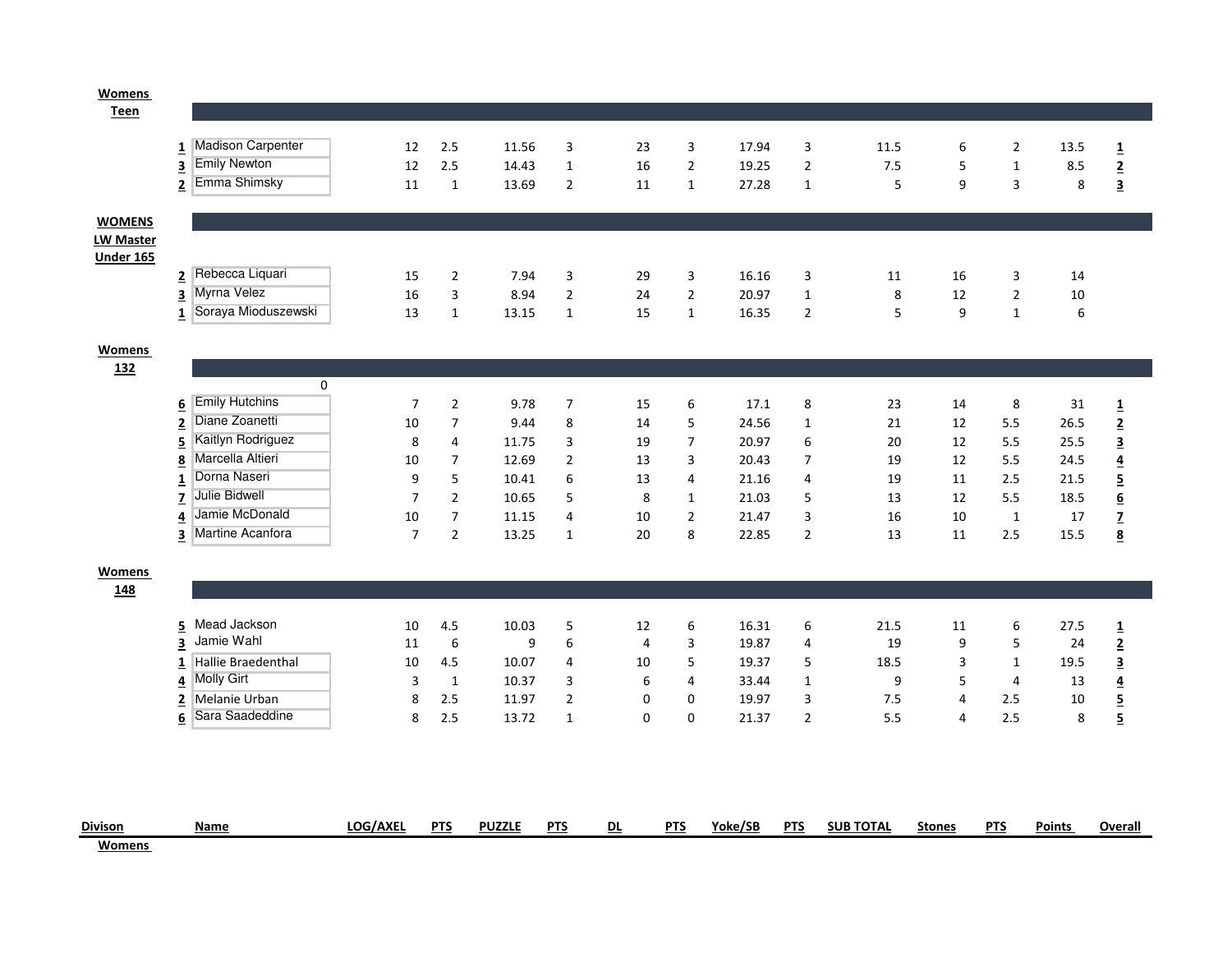## <u>Womens</u><br>Teen

| <b>Divison</b><br><b>Womans</b> | Name                                                     | LOG/AXEL       | <b>PTS</b>              | <b>PUZZLE</b>  | <b>PTS</b>          | DL                   | <b>PTS</b>     | Yoke/SB        | <b>PTS</b>          | <b>SUB TOTAL</b> | <b>Stones</b> | <b>PTS</b>     | <b>Points</b> | Overall                                    |
|---------------------------------|----------------------------------------------------------|----------------|-------------------------|----------------|---------------------|----------------------|----------------|----------------|---------------------|------------------|---------------|----------------|---------------|--------------------------------------------|
|                                 |                                                          |                |                         |                |                     |                      |                |                |                     |                  |               |                |               |                                            |
|                                 |                                                          |                |                         |                |                     |                      |                |                |                     |                  |               |                |               |                                            |
|                                 | Sara Saadeddine<br>6                                     | 8              | 2.5                     | 13.72          | $\mathbf{1}$        | $\mathbf 0$          | 0              | 21.37          | $\overline{2}$      | 5.5              | 4             | 2.5            | 8             | $\overline{\mathbf{5}}$                    |
|                                 | Melanie Urban<br><u>2</u>                                | 8              | 2.5                     | 11.97          | 2                   | $\mathbf 0$          | 0              | 19.97          | 3                   | 7.5              | 4             | 2.5            | 10            | $\overline{5}$                             |
|                                 | 1<br><b>Molly Girt</b><br>4                              | 3              | $\mathbf 1$             | 10.37          | 3                   | 6                    | 4              | 33.44          | $\mathbf 1$         | 9                | 5             | 4              | 13            | $\overline{\mathbf{4}}$                    |
|                                 | 3<br>Hallie Braedenthal                                  | 10             | 4.5                     | 10.07          | 4                   | 10                   | 5              | 19.37          | $\overline{5}$      | 18.5             | 3             | 1              | 19.5          | $\overline{\mathbf{3}}$                    |
|                                 | Mead Jackson<br>5<br>Jamie Wahl                          | 10<br>11       | 4.5<br>$\boldsymbol{6}$ | 10.03<br>9     | 5<br>6              | 12<br>$\overline{4}$ | 6<br>3         | 16.31<br>19.87 | 6<br>4              | 21.5<br>19       | 11<br>9       | 6<br>5         | 27.5<br>24    | $\frac{1}{2}$                              |
| 148                             |                                                          |                |                         |                |                     |                      |                |                |                     |                  |               |                |               |                                            |
| Womens                          |                                                          |                |                         |                |                     |                      |                |                |                     |                  |               |                |               |                                            |
|                                 |                                                          |                |                         |                |                     |                      |                |                |                     |                  |               |                |               |                                            |
|                                 | Martine Acanfora<br>3                                    | $\overline{7}$ | $\overline{2}$          | 13.25          | $\mathbf{1}$        | 20                   | 8              | 22.85          | $\overline{2}$      | 13               | 11            | 2.5            | 15.5          | $\underline{\mathbf{8}}$                   |
|                                 | Jamie McDonald<br>4                                      | 10             | $\overline{7}$          | 11.15          | 4                   | 10                   | $\overline{2}$ | 21.47          | 3                   | 16               | 10            | $\mathbf{1}$   | 17            | $\mathbf{Z}$                               |
|                                 | $\overline{1}$<br>Julie Bidwell<br>$\overline{z}$        | $\overline{7}$ | $\overline{2}$          | 10.65          | 5                   | 8                    | $\mathbf{1}$   | 21.03          | 5                   | 13               | 12            | 5.5            | 18.5          | $\overline{\mathbf{5}}$<br>$\underline{6}$ |
|                                 | 8<br>Dorna Naseri                                        | 10<br>9        | $\overline{7}$<br>5     | 12.69<br>10.41 | $\overline{2}$<br>6 | 13                   | 4              | 20.43<br>21.16 | $\overline{7}$<br>4 | 19               | 12<br>11      | 5.5<br>2.5     | 24.5<br>21.5  | $\overline{4}$                             |
|                                 | 5<br>Marcella Altieri                                    | 8              | 4                       | 11.75          | 3                   | 19<br>13             | 7<br>3         | 20.97          | 6                   | 19               | 12            | 5.5            | 25.5          | 3                                          |
|                                 | 2<br>Kaitlyn Rodriguez                                   | 10             | $\overline{7}$          | 9.44           | 8                   | 14                   | 5              | 24.56          | $\mathbf{1}$        | 21<br>20         | 12            | 5.5            | 26.5          | $\overline{2}$                             |
|                                 | 6<br>Diane Zoanetti                                      | $\overline{7}$ | $\mathbf 2$             | 9.78           | $\boldsymbol{7}$    | 15                   | 6              | 17.1           | 8                   | 23               | 14            | 8              | 31            | $\overline{\mathbf{1}}$                    |
|                                 | 0<br><b>Emily Hutchins</b>                               |                |                         |                |                     |                      |                |                |                     |                  |               |                |               |                                            |
| 132                             |                                                          |                |                         |                |                     |                      |                |                |                     |                  |               |                |               |                                            |
| <b>Womens</b>                   |                                                          |                |                         |                |                     |                      |                |                |                     |                  |               |                |               |                                            |
|                                 |                                                          |                |                         |                |                     |                      |                |                |                     |                  |               |                |               |                                            |
|                                 | Soraya Mioduszewski<br>$\mathbf{1}$                      | 13             | $\mathbf 1$             | 13.15          | $\mathbf{1}$        | 15                   | $\mathbf{1}$   | 16.35          | $\overline{2}$      | 5                | 9             | 1              | 6             |                                            |
|                                 | $\overline{2}$<br>Myrna Velez<br>$\overline{\mathbf{3}}$ | 16             | $\overline{2}$<br>3     | 8.94           | 3<br>$\mathbf{2}$   | 24                   | $\overline{2}$ | 20.97          | 3<br>$\mathbf{1}$   | 8                | 12            | $\overline{2}$ | 10            |                                            |
| <b>Under 165</b>                | Rebecca Liquari                                          | 15             |                         | 7.94           |                     | 29                   | 3              | 16.16          |                     | 11               | 16            | 3              | 14            |                                            |
| <b>LW Master</b>                |                                                          |                |                         |                |                     |                      |                |                |                     |                  |               |                |               |                                            |
| <b>WOMENS</b>                   |                                                          |                |                         |                |                     |                      |                |                |                     |                  |               |                |               |                                            |
|                                 | Emma Shimsky<br>$\overline{\mathbf{2}}$                  | 11             | $\mathbf{1}$            | 13.69          | $\overline{2}$      | 11                   | $\mathbf{1}$   | 27.28          | $\mathbf{1}$        | 5                | 9             | 3              | 8             | $\overline{\mathbf{3}}$                    |
|                                 | <b>Emily Newton</b><br>3                                 | 12             | 2.5                     | 14.43          | $\mathbf{1}$        | 16                   | $\overline{2}$ | 19.25          | $\mathbf 2$         | 7.5              | 5             | 1              | 8.5           | $\overline{\mathbf{2}}$                    |
|                                 | 1 Madison Carpenter                                      | 12             | 2.5                     | 11.56          | 3                   | 23                   | 3              | 17.94          | 3                   | 11.5             | 6             | $\overline{2}$ | 13.5          | $\overline{1}$                             |
|                                 |                                                          |                |                         |                |                     |                      |                |                |                     |                  |               |                |               |                                            |
| I <sub>cell</sub>               |                                                          |                |                         |                |                     |                      |                |                |                     |                  |               |                |               |                                            |

Womens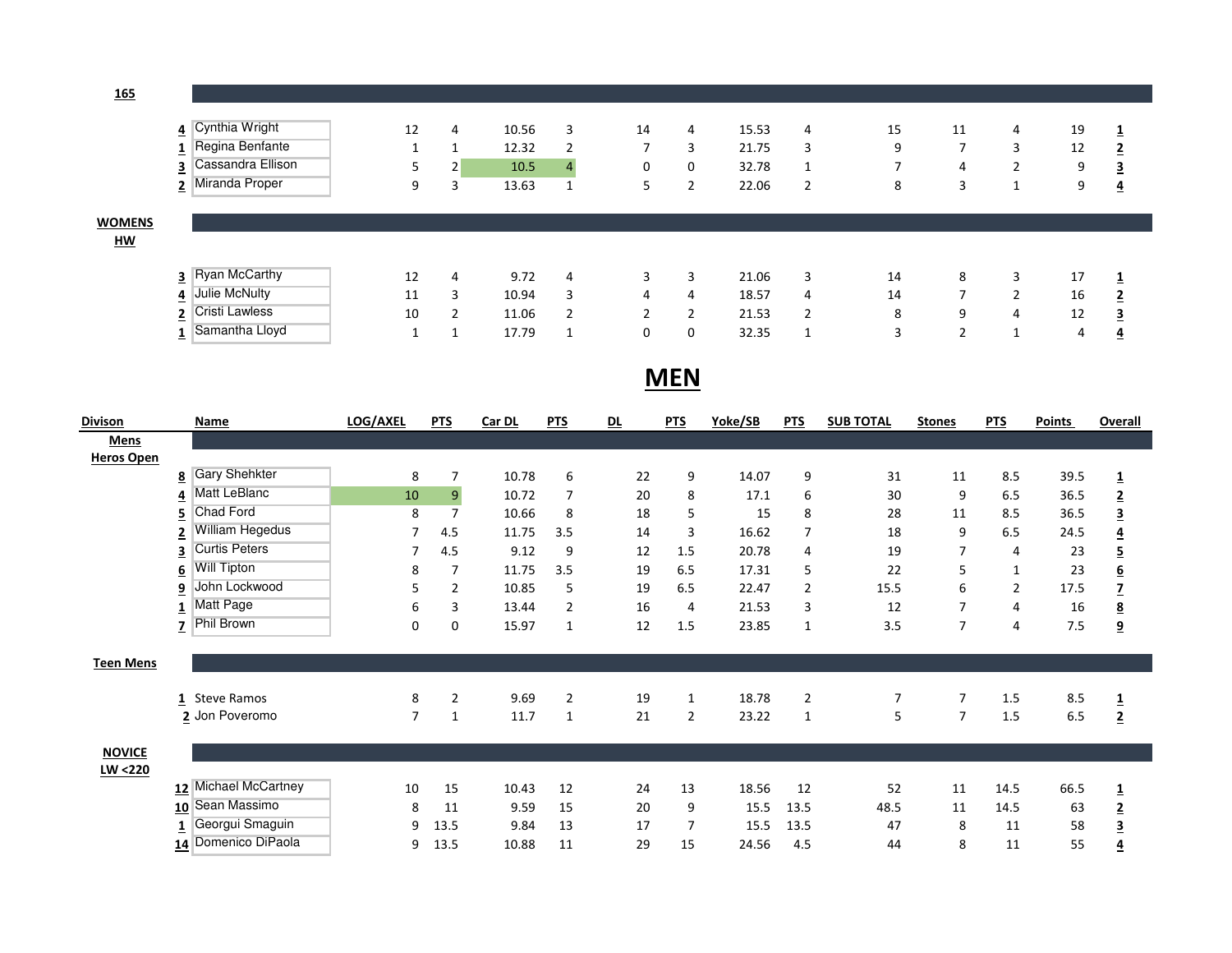165

|                                            | 4 Cynthia Wright<br>Regina Benfante<br>Ŧ.<br>Cassandra Ellison<br>3<br>Miranda Proper<br>2 | 12<br>5<br>9 | 4<br>2<br>3 | 10.56<br>12.32<br>10.5<br>13.63 | 3<br>$\overline{2}$<br>4<br>1 | 14<br>┑<br>0<br>כ | 4<br>3<br>0 | 15.53<br>21.75<br>32.78<br>22.06 | 4<br>3<br>1<br>$\overline{2}$ | 15<br>9<br>8 | 11<br>7<br>4<br>3 | 4<br>3<br>n | 19<br>12<br>9<br>9 | ᆂ<br>$\overline{2}$<br><u>3</u><br>$\overline{4}$ |
|--------------------------------------------|--------------------------------------------------------------------------------------------|--------------|-------------|---------------------------------|-------------------------------|-------------------|-------------|----------------------------------|-------------------------------|--------------|-------------------|-------------|--------------------|---------------------------------------------------|
| <b>WOMENS</b><br>$\underline{\mathsf{HM}}$ |                                                                                            |              |             |                                 |                               |                   |             |                                  |                               |              |                   |             |                    |                                                   |
|                                            |                                                                                            |              |             |                                 |                               |                   |             |                                  |                               |              |                   |             |                    |                                                   |
|                                            | 3 Ryan McCarthy                                                                            | 12           | 4           | 9.72                            | 4                             | 3                 | 3           | 21.06                            | 3                             | 14           | 8                 | 3           | 17                 | <b>J</b>                                          |
|                                            | Julie McNulty<br>4                                                                         | 11           | 3           | 10.94                           | 3                             | 4                 | 4           | 18.57                            | 4                             | 14           |                   | ∍           | 16                 | 2                                                 |
|                                            | Cristi Lawless<br><u>2</u>                                                                 | 10           | 2           | 11.06                           | $\overline{2}$                | h                 | h           | 21.53                            | 2                             | 8            | 9                 | 4           | 12                 | 3                                                 |
|                                            | Samantha Lloyd<br>٠.                                                                       |              |             | 17.79                           | 1                             | 0                 | 0           | 32.35                            | 1                             | 3            | ∽                 |             | 4                  | 4                                                 |

MEN

| <b>Divison</b>    | Name                                            | <b>LOG/AXEL</b> | <b>PTS</b>     | Car DL | <b>PTS</b>     | <u>DL</u> | <b>PTS</b>     | <u>Yoke/SB</u> | <b>PTS</b>     | <b>SUB TOTAL</b> | <b>Stones</b>  | <b>PTS</b> | <b>Points</b> | <b>Overall</b>          |
|-------------------|-------------------------------------------------|-----------------|----------------|--------|----------------|-----------|----------------|----------------|----------------|------------------|----------------|------------|---------------|-------------------------|
| <b>Mens</b>       |                                                 |                 |                |        |                |           |                |                |                |                  |                |            |               |                         |
| <b>Heros Open</b> |                                                 |                 |                |        |                |           |                |                |                |                  |                |            |               |                         |
|                   | <b>Gary Shehkter</b><br>$\overline{\mathbf{8}}$ | 8               | $\overline{7}$ | 10.78  | 6              | 22        | 9              | 14.07          | 9              | 31               | 11             | 8.5        | 39.5          | $\overline{\mathbf{1}}$ |
|                   | Matt LeBlanc<br>4                               | 10              | $\overline{9}$ | 10.72  | 7              | 20        | 8              | 17.1           | 6              | 30               | 9              | 6.5        | 36.5          | $\overline{2}$          |
|                   | Chad Ford<br>5                                  | 8               | $\overline{7}$ | 10.66  | 8              | 18        | 5              | 15             | 8              | 28               | 11             | 8.5        | 36.5          | $\overline{\mathbf{3}}$ |
|                   | William Hegedus                                 | 7               | 4.5            | 11.75  | 3.5            | 14        | 3              | 16.62          |                | 18               | 9              | 6.5        | 24.5          | $\overline{4}$          |
|                   | <b>Curtis Peters</b>                            | 7               | 4.5            | 9.12   | 9              | 12        | 1.5            | 20.78          | 4              | 19               | 7              | 4          | 23            | $\overline{\mathbf{5}}$ |
|                   | <b>Will Tipton</b><br>6                         | 8               | 7              | 11.75  | 3.5            | 19        | 6.5            | 17.31          | 5              | 22               | 5              | 1          | 23            | $\underline{6}$         |
|                   | John Lockwood<br>9                              | 5               | $\overline{2}$ | 10.85  | 5              | 19        | 6.5            | 22.47          | $\overline{2}$ | 15.5             | 6              | 2          | 17.5          | $\overline{z}$          |
|                   | Matt Page                                       | 6               | 3              | 13.44  | 2              | 16        | $\overline{4}$ | 21.53          | 3              | 12               | 7              | 4          | 16            | $\overline{\mathbf{8}}$ |
|                   | Phil Brown<br>7                                 | 0               | 0              | 15.97  | $\mathbf{1}$   | 12        | 1.5            | 23.85          | 1              | 3.5              | $\overline{7}$ | 4          | 7.5           | $\overline{9}$          |
|                   |                                                 |                 |                |        |                |           |                |                |                |                  |                |            |               |                         |
| <b>Teen Mens</b>  |                                                 |                 |                |        |                |           |                |                |                |                  |                |            |               |                         |
|                   |                                                 |                 |                |        |                |           |                |                |                |                  |                |            |               |                         |
|                   | <b>Steve Ramos</b><br>1                         | 8               | $\overline{2}$ | 9.69   | $\overline{2}$ | 19        | 1              | 18.78          | $\overline{2}$ | 7                | 7              | 1.5        | 8.5           | $\overline{\mathbf{1}}$ |
|                   | 2 Jon Poveromo                                  | 7               | $\mathbf{1}$   | 11.7   | 1              | 21        | 2              | 23.22          | 1              | 5                | $\overline{7}$ | 1.5        | 6.5           | $\overline{2}$          |
|                   |                                                 |                 |                |        |                |           |                |                |                |                  |                |            |               |                         |
| <b>NOVICE</b>     |                                                 |                 |                |        |                |           |                |                |                |                  |                |            |               |                         |
| LW <220           |                                                 |                 |                |        |                |           |                |                |                |                  |                |            |               |                         |
|                   | 12 Michael McCartney                            | 10              | 15             | 10.43  | 12             | 24        | 13             | 18.56          | 12             | 52               | 11             | 14.5       | 66.5          | $\overline{1}$          |
|                   | 10 Sean Massimo                                 | 8               | 11             | 9.59   | 15             | 20        | 9              | 15.5           | 13.5           | 48.5             | 11             | 14.5       | 63            | $\overline{2}$          |
|                   | Georgui Smaguin                                 | 9               | 13.5           | 9.84   | 13             | 17        | 7              | 15.5           | 13.5           | 47               | 8              | 11         | 58            | $\overline{\mathbf{3}}$ |
|                   | 14 Domenico DiPaola                             | 9               | 13.5           | 10.88  | 11             | 29        | 15             | 24.56          | 4.5            | 44               | 8              | 11         | 55            | <u>4</u>                |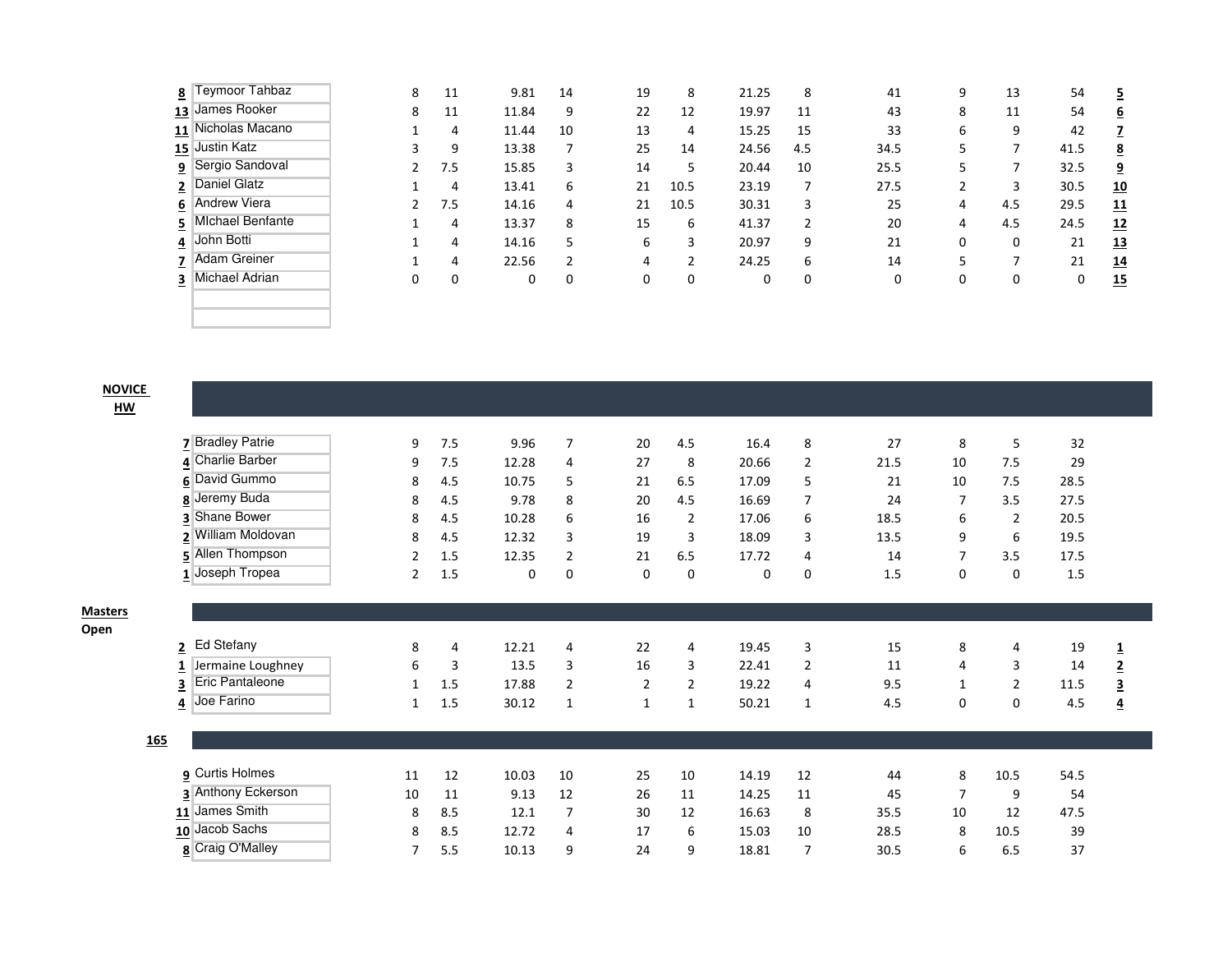|                | 8 Teymoor Tahbaz         | 8 | 11  | 9.81  | 14 | 19 | 8              | 21.25 | 8   | 41   | 9 | 13  | 54   | <u>5</u>        |
|----------------|--------------------------|---|-----|-------|----|----|----------------|-------|-----|------|---|-----|------|-----------------|
|                | 13 James Rooker          | 8 | 11  | 11.84 | 9  | 22 | 12             | 19.97 | 11  | 43   | 8 | 11  | 54   | $6\overline{6}$ |
|                | 11 Nicholas Macano       |   | 4   | 11.44 | 10 | 13 | 4              | 15.25 | 15  | 33   | 6 | 9   | 42   | 7               |
|                | 15 Justin Katz           |   | 9   | 13.38 |    | 25 | 14             | 24.56 | 4.5 | 34.5 | 5 |     | 41.5 | $\overline{8}$  |
|                | <b>9</b> Sergio Sandoval |   | 7.5 | 15.85 | 3  | 14 | 5              | 20.44 | 10  | 25.5 |   |     | 32.5 | <u>9</u>        |
| $\overline{2}$ | Daniel Glatz             |   | 4   | 13.41 | 6  | 21 | 10.5           | 23.19 |     | 27.5 |   | 3   | 30.5 | <u>10</u>       |
|                | 6 Andrew Viera           |   | 7.5 | 14.16 | 4  | 21 | 10.5           | 30.31 | 3   | 25   | 4 | 4.5 | 29.5 | <u>11</u>       |
| $\overline{5}$ | <b>Michael Benfante</b>  |   | 4   | 13.37 | 8  | 15 | 6              | 41.37 | 2   | 20   | 4 | 4.5 | 24.5 | <u>12</u>       |
|                | 4 John Botti             |   | 4   | 14.16 | 5  | 6  | 3              | 20.97 | 9   | 21   | 0 | 0   | 21   | <u>13</u>       |
| 7              | <b>Adam Greiner</b>      |   | 4   | 22.56 |    | 4  | $\overline{2}$ | 24.25 | 6   | 14   |   |     | 21   | <u>14</u>       |
| 3              | Michael Adrian           | 0 | 0   | 0     | 0  | 0  | 0              | 0     | 0   | 0    |   | 0   | 0    | <u>15</u>       |
|                |                          |   |     |       |    |    |                |       |     |      |   |     |      |                 |
|                |                          |   |     |       |    |    |                |       |     |      |   |     |      |                 |
|                |                          |   |     |       |    |    |                |       |     |      |   |     |      |                 |

<u>NOVICE</u>

HW

**Masters** Open

|                   | 7 Bradley Patrie       | 9              | 7.5 | 9.96  | $\overline{7}$ | 20 | 4.5            | 16.4  | 8              | 27   | 8              | 5              | 32   |                         |
|-------------------|------------------------|----------------|-----|-------|----------------|----|----------------|-------|----------------|------|----------------|----------------|------|-------------------------|
|                   | 4 Charlie Barber       | 9              | 7.5 | 12.28 | 4              | 27 | 8              | 20.66 | 2              | 21.5 | 10             | 7.5            | 29   |                         |
| 6                 | David Gummo            | 8              | 4.5 | 10.75 | 5              | 21 | 6.5            | 17.09 | 5              | 21   | 10             | 7.5            | 28.5 |                         |
| 8                 | Jeremy Buda            | 8              | 4.5 | 9.78  | 8              | 20 | 4.5            | 16.69 | $\overline{7}$ | 24   | $\overline{7}$ | 3.5            | 27.5 |                         |
| 3                 | <b>Shane Bower</b>     | 8              | 4.5 | 10.28 | 6              | 16 | $\overline{2}$ | 17.06 | 6              | 18.5 | 6              | $\overline{2}$ | 20.5 |                         |
| 2                 | William Moldovan       | 8              | 4.5 | 12.32 | 3              | 19 | 3              | 18.09 | 3              | 13.5 | 9              | 6              | 19.5 |                         |
|                   | 5 Allen Thompson       | $\overline{2}$ | 1.5 | 12.35 | $\overline{2}$ | 21 | 6.5            | 17.72 | 4              | 14   | $\overline{7}$ | 3.5            | 17.5 |                         |
|                   | 1 Joseph Tropea        | $\overline{2}$ | 1.5 | 0     | $\mathbf 0$    | 0  | 0              | 0     | $\mathbf 0$    | 1.5  | $\mathbf 0$    | 0              | 1.5  |                         |
|                   |                        |                |     |       |                |    |                |       |                |      |                |                |      |                         |
|                   |                        |                |     |       |                |    |                |       |                |      |                |                |      |                         |
|                   |                        |                |     |       |                |    |                |       |                |      |                |                |      |                         |
|                   | 2 Ed Stefany           | 8              | 4   | 12.21 | $\overline{4}$ | 22 | 4              | 19.45 | 3              | 15   | 8              | 4              | 19   | $\mathbf 1$             |
|                   | Jermaine Loughney      | 6              | 3   | 13.5  | 3              | 16 | 3              | 22.41 | $\overline{2}$ | 11   | 4              | 3              | 14   | $\overline{2}$          |
| 3                 | <b>Eric Pantaleone</b> | 1              | 1.5 | 17.88 | 2              | 2  | $\overline{2}$ | 19.22 | 4              | 9.5  | 1              | 2              | 11.5 | $\overline{\mathbf{3}}$ |
| $\overline{4}$    | Joe Farino             | 1              | 1.5 | 30.12 | $\mathbf{1}$   | 1  | 1              | 50.21 | $\mathbf{1}$   | 4.5  | 0              | 0              | 4.5  | $\overline{\mathbf{4}}$ |
|                   |                        |                |     |       |                |    |                |       |                |      |                |                |      |                         |
| $\underline{165}$ |                        |                |     |       |                |    |                |       |                |      |                |                |      |                         |
|                   |                        |                |     |       |                |    |                |       |                |      |                |                |      |                         |
|                   | <b>9</b> Curtis Holmes | 11             | 12  | 10.03 | 10             | 25 | 10             | 14.19 | 12             | 44   | 8              | 10.5           | 54.5 |                         |
|                   | 3 Anthony Eckerson     | 10             | 11  | 9.13  | 12             | 26 | 11             | 14.25 | 11             | 45   | 7              | 9              | 54   |                         |
|                   | 11 James Smith         | 8              | 8.5 | 12.1  | $\overline{7}$ | 30 | 12             | 16.63 | 8              | 35.5 | 10             | 12             | 47.5 |                         |
|                   | 10 Jacob Sachs         | 8              | 8.5 | 12.72 | 4              | 17 | 6              | 15.03 | 10             | 28.5 | 8              | 10.5           | 39   |                         |
|                   | 8 Craig O'Malley       | 7              | 5.5 | 10.13 | 9              | 24 | 9              | 18.81 | 7              | 30.5 | 6              | 6.5            | 37   |                         |
|                   |                        |                |     |       |                |    |                |       |                |      |                |                |      |                         |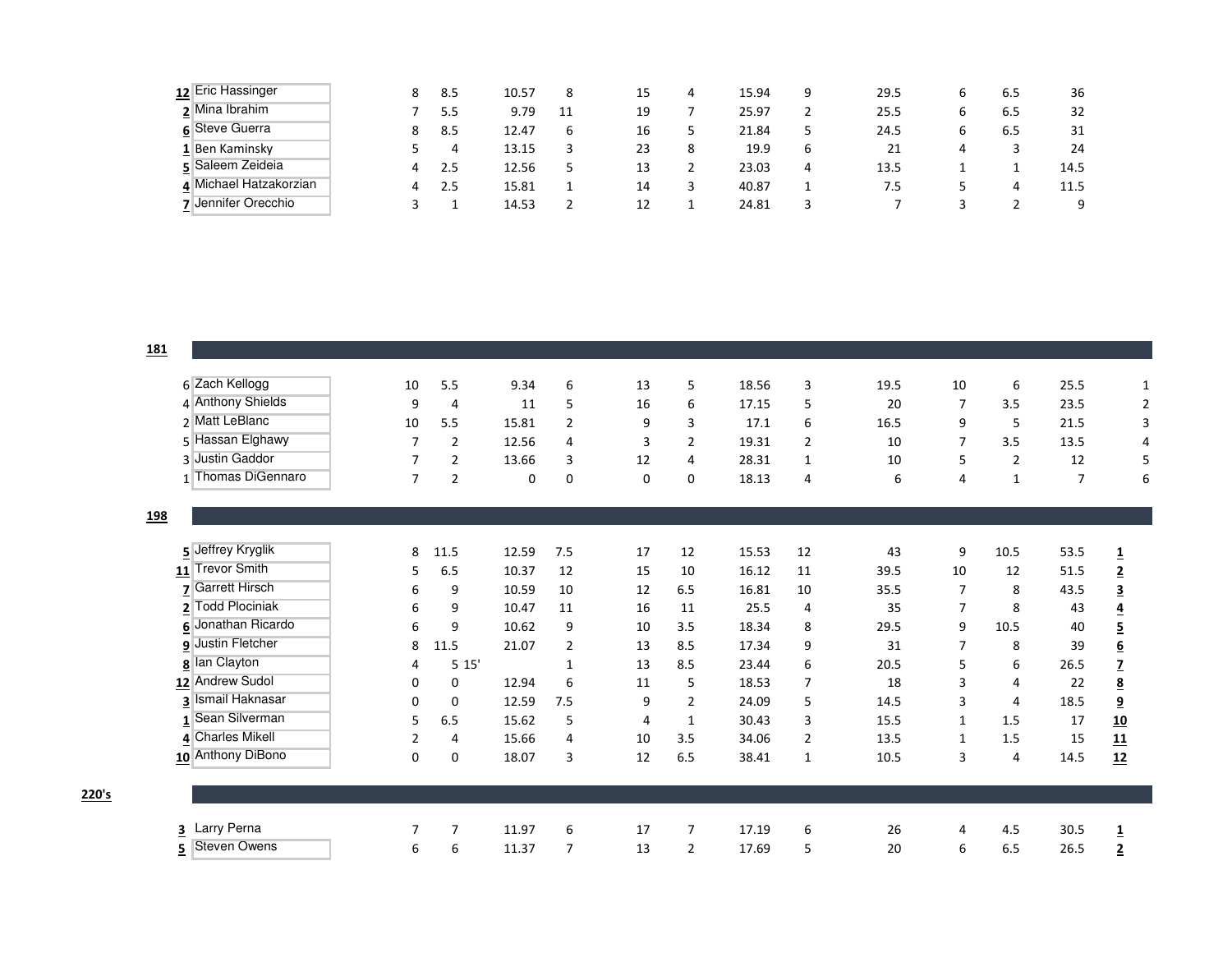| 12 Eric Hassinger      | 8 | 8.5 | 10.57 | 8  | 15 | 4 | 15.94 | 9 | 29.5 | b | 6.5 | 36   |
|------------------------|---|-----|-------|----|----|---|-------|---|------|---|-----|------|
| 2 Mina Ibrahim         |   | 5.5 | 9.79  | 11 | 19 |   | 25.97 |   | 25.5 | b | 6.5 | 32   |
| 6 Steve Guerra         | 8 | 8.5 | 12.47 | 6  | 16 |   | 21.84 |   | 24.5 | b | 6.5 | 31   |
| 1 Ben Kaminsky         |   | 4   | 13.15 |    | 23 | 8 | 19.9  | 6 |      | 4 |     | 24   |
| 5 Saleem Zeideia       | 4 | 2.5 | 12.56 |    | 13 |   | 23.03 | 4 | 13.5 |   |     | 14.5 |
| 4 Michael Hatzakorzian | 4 | 2.5 | 15.81 |    | 14 | 3 | 40.87 |   | 7.5  |   |     | 11.5 |
| 7 Jennifer Orecchio    |   |     | 14.53 |    | 12 |   | 24.81 |   |      |   |     | 9    |

|     | 6 Zach Kellogg         | 10             | 5.5            | 9.34     | 6              | 13       | 5              | 18.56 | 3              | 19.5 | 10             | 6              | 25.5 |                             | 1              |
|-----|------------------------|----------------|----------------|----------|----------------|----------|----------------|-------|----------------|------|----------------|----------------|------|-----------------------------|----------------|
|     | 4 Anthony Shields      | 9              | 4              | 11       | 5              | 16       | 6              | 17.15 | 5              | 20   | $\overline{7}$ | 3.5            | 23.5 |                             | $\overline{2}$ |
|     | 2 Matt LeBlanc         | 10             | 5.5            | 15.81    | $\overline{2}$ | 9        | 3              | 17.1  | 6              | 16.5 | 9              | 5              | 21.5 |                             | 3              |
|     | 5 Hassan Elghawy       | $\overline{7}$ | $\overline{2}$ | 12.56    | 4              | 3        | $\overline{2}$ | 19.31 | $\overline{2}$ | 10   | $\overline{7}$ | 3.5            | 13.5 |                             | 4              |
|     | 3 Justin Gaddor        | $\overline{7}$ | 2              | 13.66    | 3              | 12       | 4              | 28.31 | 1              | 10   | 5              | $\overline{2}$ | 12   |                             | 5              |
|     | 1 Thomas DiGennaro     | 7              | $\overline{2}$ | $\Omega$ | 0              | $\Omega$ | $\mathbf 0$    | 18.13 | 4              | 6    | 4              | $\mathbf{1}$   | 7    |                             | 6              |
| 198 |                        |                |                |          |                |          |                |       |                |      |                |                |      |                             |                |
|     |                        |                |                |          |                |          |                |       |                |      |                |                |      |                             |                |
|     | 5 Jeffrey Kryglik      | 8              | 11.5           | 12.59    | 7.5            | 17       | 12             | 15.53 | 12             | 43   | 9              | 10.5           | 53.5 | $\overline{\mathbf{1}}$     |                |
|     | 11 Trevor Smith        | 5              | 6.5            | 10.37    | 12             | 15       | 10             | 16.12 | 11             | 39.5 | 10             | 12             | 51.5 | $\overline{2}$              |                |
|     | <b>Garrett Hirsch</b>  | 6              | 9              | 10.59    | 10             | 12       | 6.5            | 16.81 | 10             | 35.5 | $\overline{7}$ | 8              | 43.5 | $\overline{\mathbf{3}}$     |                |
|     | <b>Todd Plociniak</b>  | 6              | 9              | 10.47    | 11             | 16       | 11             | 25.5  | 4              | 35   | 7              | 8              | 43   |                             |                |
| 6   | Jonathan Ricardo       | 6              | 9              | 10.62    | 9              | 10       | 3.5            | 18.34 | 8              | 29.5 | 9              | 10.5           | 40   | $\frac{4}{5}$ $\frac{5}{6}$ |                |
|     | 9 Justin Fletcher      | 8              | 11.5           | 21.07    | $\overline{2}$ | 13       | 8.5            | 17.34 | 9              | 31   | 7              | 8              | 39   |                             |                |
| 8   | lan Clayton            | 4              | 5 15'          |          | 1              | 13       | 8.5            | 23.44 | 6              | 20.5 | 5              | 6              | 26.5 | $\overline{z}$              |                |
| 12  | <b>Andrew Sudol</b>    | 0              | $\mathbf 0$    | 12.94    | 6              | 11       | 5              | 18.53 | 7              | 18   | 3              | 4              | 22   | $\overline{\mathbf{8}}$     |                |
| 3   | <b>Ismail Haknasar</b> | $\mathbf 0$    | $\mathbf 0$    | 12.59    | 7.5            | 9        | $\overline{2}$ | 24.09 | 5              | 14.5 | 3              | 4              | 18.5 | $\underline{\mathbf{9}}$    |                |
|     | Sean Silverman         | 5              | 6.5            | 15.62    | 5              | 4        | $\mathbf{1}$   | 30.43 | 3              | 15.5 | 1              | 1.5            | 17   | 10                          |                |
|     | 4 Charles Mikell       | $\overline{2}$ | 4              | 15.66    | 4              | 10       | 3.5            | 34.06 | $\overline{2}$ | 13.5 | 1              | 1.5            | 15   | 11                          |                |
|     | 10 Anthony DiBono      | 0              | $\mathbf 0$    | 18.07    | 3              | 12       | 6.5            | 38.41 | 1              | 10.5 | 3              | 4              | 14.5 | 12                          |                |
|     |                        |                |                |          |                |          |                |       |                |      |                |                |      |                             |                |
|     |                        |                |                |          |                |          |                |       |                |      |                |                |      |                             |                |
| 3   | Larry Perna            | 7              | $\overline{7}$ | 11.97    | 6              | 17       | $\overline{7}$ | 17.19 | 6              | 26   | 4              | 4.5            | 30.5 | $\overline{\mathbf{1}}$     |                |
| 5   | <b>Steven Owens</b>    | 6              | 6              | 11.37    | 7              | 13       | $\overline{2}$ | 17.69 | 5              | 20   | 6              | 6.5            | 26.5 | $\overline{2}$              |                |